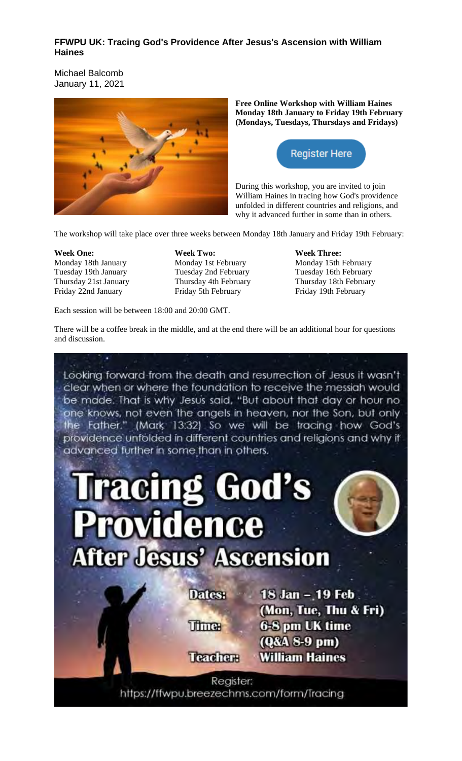# **FFWPU UK: Tracing God's Providence After Jesus's Ascension with William Haines**

Michael Balcomb January 11, 2021



**Free Online Workshop with William Haines Monday 18th January to Friday 19th February (Mondays, Tuesdays, Thursdays and Fridays)**



During this workshop, you are invited to join William Haines in tracing how God's providence unfolded in different countries and religions, and why it advanced further in some than in others.

The workshop will take place over three weeks between Monday 18th January and Friday 19th February:

**Week One:** Monday 18th January Tuesday 19th January Thursday 21st January Friday 22nd January

**Week Two:** Monday 1st February Tuesday 2nd February Thursday 4th February Friday 5th February

Each session will be between 18:00 and 20:00 GMT.

**Week Three:** Monday 15th February Tuesday 16th February Thursday 18th February Friday 19th February

There will be a coffee break in the middle, and at the end there will be an additional hour for questions and discussion.

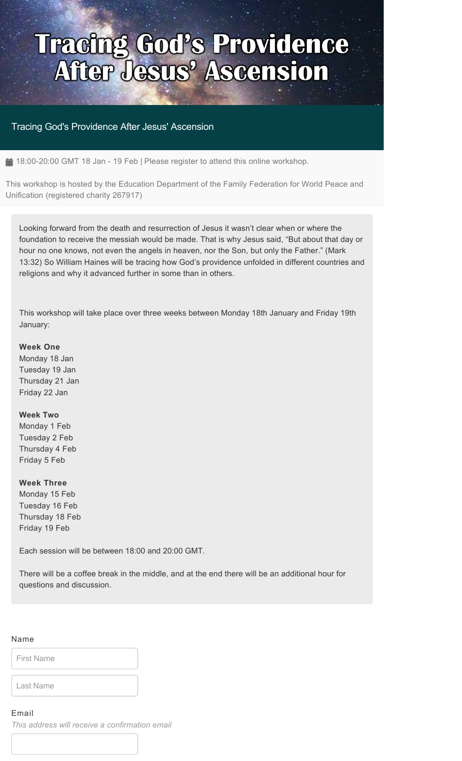# **Tracing God's Providence<br>After Jesus' Ascension**

# Tracing God's Providence After Jesus' Ascension

 $\triangleq$  18:00-20:00 GMT 18 Jan - 19 Feb | Please register to attend this online workshop.

This workshop is hosted by the Education Department of the Family Federation for World Peace and Unification (registered charity 267917)

Looking forward from the death and resurrection of Jesus it wasn't clear when or where the foundation to receive the messiah would be made. That is why Jesus said, "But about that day or hour no one knows, not even the angels in heaven, nor the Son, but only the Father." (Mark 13:32) So William Haines will be tracing how God's providence unfolded in different countries and religions and why it advanced further in some than in others.

This workshop will take place over three weeks between Monday 18th January and Friday 19th January:

#### **Week One**

Monday 18 Jan Tuesday 19 Jan Thursday 21 Jan Friday 22 Jan

## **Week Two**

Monday 1 Feb Tuesday 2 Feb Thursday 4 Feb Friday 5 Feb

#### **Week Three**

Monday 15 Feb Tuesday 16 Feb Thursday 18 Feb Friday 19 Feb

Each session will be between 18:00 and 20:00 GMT.

There will be a coffee break in the middle, and at the end there will be an additional hour for questions and discussion.

#### Name

First Name

Last Name

### Email

*This address will receive a confirmation email*